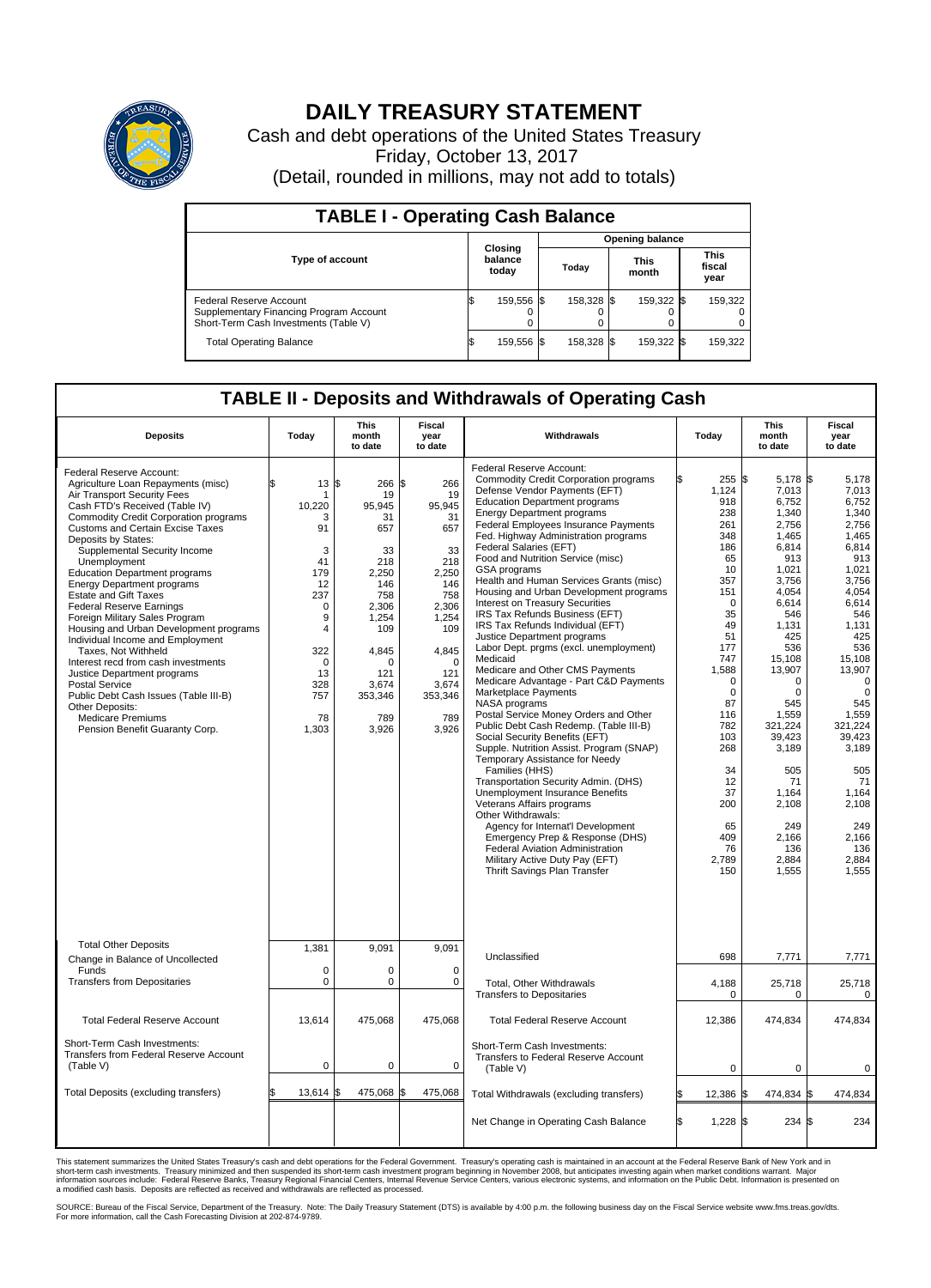

## **DAILY TREASURY STATEMENT**

Cash and debt operations of the United States Treasury Friday, October 13, 2017 (Detail, rounded in millions, may not add to totals)

| <b>TABLE I - Operating Cash Balance</b>                                                                     |   |                             |                        |            |  |                      |  |                               |  |
|-------------------------------------------------------------------------------------------------------------|---|-----------------------------|------------------------|------------|--|----------------------|--|-------------------------------|--|
|                                                                                                             |   |                             | <b>Opening balance</b> |            |  |                      |  |                               |  |
| Type of account                                                                                             |   | Closing<br>balance<br>today |                        | Today      |  | <b>This</b><br>month |  | <b>This</b><br>fiscal<br>year |  |
| Federal Reserve Account<br>Supplementary Financing Program Account<br>Short-Term Cash Investments (Table V) |   | 159,556 \$                  |                        | 158.328 \$ |  | 159,322 \$           |  | 159,322                       |  |
| <b>Total Operating Balance</b>                                                                              | S | 159,556 \$                  |                        | 158,328 \$ |  | 159,322 \$           |  | 159,322                       |  |

## **TABLE II - Deposits and Withdrawals of Operating Cash**

| <b>Deposits</b>                                                                                                                                                                                                                                                                                                                                                                                                                                                                                                                                                                                                                                                                                                                                                                                                   | Today                                                                                                                                          | <b>This</b><br>month<br>to date                                                                                                                                      | <b>Fiscal</b><br>year<br>to date                                                                                                                                    | Withdrawals                                                                                                                                                                                                                                                                                                                                                                                                                                                                                                                                                                                                                                                                                                                                                                                                                                                                                                                                                                                                                                                                                                                                                                                                                                                                                                         |                                                                                                                                                                                                                                                                | This<br>month<br>to date                                                                                                                                                                                                                                                                           | Fiscal<br>year<br>to date                                                                                                                                                                                                                                                                                    |
|-------------------------------------------------------------------------------------------------------------------------------------------------------------------------------------------------------------------------------------------------------------------------------------------------------------------------------------------------------------------------------------------------------------------------------------------------------------------------------------------------------------------------------------------------------------------------------------------------------------------------------------------------------------------------------------------------------------------------------------------------------------------------------------------------------------------|------------------------------------------------------------------------------------------------------------------------------------------------|----------------------------------------------------------------------------------------------------------------------------------------------------------------------|---------------------------------------------------------------------------------------------------------------------------------------------------------------------|---------------------------------------------------------------------------------------------------------------------------------------------------------------------------------------------------------------------------------------------------------------------------------------------------------------------------------------------------------------------------------------------------------------------------------------------------------------------------------------------------------------------------------------------------------------------------------------------------------------------------------------------------------------------------------------------------------------------------------------------------------------------------------------------------------------------------------------------------------------------------------------------------------------------------------------------------------------------------------------------------------------------------------------------------------------------------------------------------------------------------------------------------------------------------------------------------------------------------------------------------------------------------------------------------------------------|----------------------------------------------------------------------------------------------------------------------------------------------------------------------------------------------------------------------------------------------------------------|----------------------------------------------------------------------------------------------------------------------------------------------------------------------------------------------------------------------------------------------------------------------------------------------------|--------------------------------------------------------------------------------------------------------------------------------------------------------------------------------------------------------------------------------------------------------------------------------------------------------------|
| Federal Reserve Account:<br>Agriculture Loan Repayments (misc)<br>Air Transport Security Fees<br>Cash FTD's Received (Table IV)<br><b>Commodity Credit Corporation programs</b><br><b>Customs and Certain Excise Taxes</b><br>Deposits by States:<br>Supplemental Security Income<br>Unemployment<br><b>Education Department programs</b><br><b>Energy Department programs</b><br><b>Estate and Gift Taxes</b><br><b>Federal Reserve Earnings</b><br>Foreign Military Sales Program<br>Housing and Urban Development programs<br>Individual Income and Employment<br>Taxes. Not Withheld<br>Interest recd from cash investments<br>Justice Department programs<br><b>Postal Service</b><br>Public Debt Cash Issues (Table III-B)<br>Other Deposits:<br><b>Medicare Premiums</b><br>Pension Benefit Guaranty Corp. | 13<br>\$<br>-1<br>10,220<br>3<br>91<br>3<br>41<br>179<br>12<br>237<br>$\Omega$<br>9<br>4<br>322<br>$\Omega$<br>13<br>328<br>757<br>78<br>1,303 | l\$<br>266<br>19<br>95,945<br>31<br>657<br>33<br>218<br>2,250<br>146<br>758<br>2.306<br>1,254<br>109<br>4,845<br>$\Omega$<br>121<br>3.674<br>353,346<br>789<br>3,926 | S.<br>266<br>19<br>95.945<br>31<br>657<br>33<br>218<br>2,250<br>146<br>758<br>2,306<br>1,254<br>109<br>4,845<br>$\Omega$<br>121<br>3,674<br>353,346<br>789<br>3,926 | Federal Reserve Account:<br><b>Commodity Credit Corporation programs</b><br>Defense Vendor Payments (EFT)<br><b>Education Department programs</b><br><b>Energy Department programs</b><br><b>Federal Employees Insurance Payments</b><br>Fed. Highway Administration programs<br>Federal Salaries (EFT)<br>Food and Nutrition Service (misc)<br><b>GSA</b> programs<br>Health and Human Services Grants (misc)<br>Housing and Urban Development programs<br>Interest on Treasury Securities<br>IRS Tax Refunds Business (EFT)<br>IRS Tax Refunds Individual (EFT)<br>Justice Department programs<br>Labor Dept. prgms (excl. unemployment)<br>Medicaid<br>Medicare and Other CMS Payments<br>Medicare Advantage - Part C&D Payments<br>Marketplace Payments<br>NASA programs<br>Postal Service Money Orders and Other<br>Public Debt Cash Redemp. (Table III-B)<br>Social Security Benefits (EFT)<br>Supple. Nutrition Assist. Program (SNAP)<br>Temporary Assistance for Needy<br>Families (HHS)<br>Transportation Security Admin. (DHS)<br>Unemployment Insurance Benefits<br>Veterans Affairs programs<br>Other Withdrawals:<br>Agency for Internat'l Development<br>Emergency Prep & Response (DHS)<br><b>Federal Aviation Administration</b><br>Military Active Duty Pay (EFT)<br>Thrift Savings Plan Transfer | 255S<br>1,124<br>918<br>238<br>261<br>348<br>186<br>65<br>10<br>357<br>151<br>$\mathbf 0$<br>35<br>49<br>51<br>177<br>747<br>1,588<br>$\mathbf 0$<br>$\mathbf 0$<br>87<br>116<br>782<br>103<br>268<br>34<br>12<br>37<br>200<br>65<br>409<br>76<br>2,789<br>150 | 5,178 \$<br>7,013<br>6,752<br>1,340<br>2,756<br>1,465<br>6.814<br>913<br>1.021<br>3,756<br>4.054<br>6,614<br>546<br>1,131<br>425<br>536<br>15,108<br>13,907<br>$\Omega$<br>0<br>545<br>1,559<br>321,224<br>39,423<br>3,189<br>505<br>71<br>1.164<br>2,108<br>249<br>2,166<br>136<br>2,884<br>1,555 | 5,178<br>7.013<br>6,752<br>1,340<br>2,756<br>1,465<br>6.814<br>913<br>1.021<br>3,756<br>4.054<br>6,614<br>546<br>1,131<br>425<br>536<br>15,108<br>13.907<br>$\mathbf 0$<br>$\mathbf 0$<br>545<br>1,559<br>321,224<br>39,423<br>3,189<br>505<br>71<br>1.164<br>2,108<br>249<br>2,166<br>136<br>2,884<br>1,555 |
| <b>Total Other Deposits</b><br>Change in Balance of Uncollected<br>Funds                                                                                                                                                                                                                                                                                                                                                                                                                                                                                                                                                                                                                                                                                                                                          | 1,381<br>$\mathbf 0$                                                                                                                           | 9,091<br>$\Omega$                                                                                                                                                    | 9,091<br>$\mathbf 0$                                                                                                                                                | Unclassified                                                                                                                                                                                                                                                                                                                                                                                                                                                                                                                                                                                                                                                                                                                                                                                                                                                                                                                                                                                                                                                                                                                                                                                                                                                                                                        | 698                                                                                                                                                                                                                                                            | 7,771                                                                                                                                                                                                                                                                                              | 7,771                                                                                                                                                                                                                                                                                                        |
| <b>Transfers from Depositaries</b>                                                                                                                                                                                                                                                                                                                                                                                                                                                                                                                                                                                                                                                                                                                                                                                | $\mathbf 0$                                                                                                                                    | $\Omega$                                                                                                                                                             | $\Omega$                                                                                                                                                            | Total, Other Withdrawals<br><b>Transfers to Depositaries</b>                                                                                                                                                                                                                                                                                                                                                                                                                                                                                                                                                                                                                                                                                                                                                                                                                                                                                                                                                                                                                                                                                                                                                                                                                                                        | 4,188<br>$\mathbf 0$                                                                                                                                                                                                                                           | 25,718<br>0                                                                                                                                                                                                                                                                                        | 25,718<br>$\mathbf 0$                                                                                                                                                                                                                                                                                        |
| <b>Total Federal Reserve Account</b>                                                                                                                                                                                                                                                                                                                                                                                                                                                                                                                                                                                                                                                                                                                                                                              | 13,614                                                                                                                                         | 475,068                                                                                                                                                              | 475,068                                                                                                                                                             | <b>Total Federal Reserve Account</b>                                                                                                                                                                                                                                                                                                                                                                                                                                                                                                                                                                                                                                                                                                                                                                                                                                                                                                                                                                                                                                                                                                                                                                                                                                                                                | 12,386                                                                                                                                                                                                                                                         | 474,834                                                                                                                                                                                                                                                                                            | 474,834                                                                                                                                                                                                                                                                                                      |
| Short-Term Cash Investments:<br>Transfers from Federal Reserve Account<br>(Table V)                                                                                                                                                                                                                                                                                                                                                                                                                                                                                                                                                                                                                                                                                                                               | $\pmb{0}$                                                                                                                                      | 0                                                                                                                                                                    | $\mathbf 0$                                                                                                                                                         | Short-Term Cash Investments:<br><b>Transfers to Federal Reserve Account</b><br>(Table V)                                                                                                                                                                                                                                                                                                                                                                                                                                                                                                                                                                                                                                                                                                                                                                                                                                                                                                                                                                                                                                                                                                                                                                                                                            | $\mathbf 0$                                                                                                                                                                                                                                                    | 0                                                                                                                                                                                                                                                                                                  | $\mathbf 0$                                                                                                                                                                                                                                                                                                  |
| Total Deposits (excluding transfers)                                                                                                                                                                                                                                                                                                                                                                                                                                                                                                                                                                                                                                                                                                                                                                              | 13,614                                                                                                                                         | 475,068<br>\$                                                                                                                                                        | 475,068                                                                                                                                                             | Total Withdrawals (excluding transfers)                                                                                                                                                                                                                                                                                                                                                                                                                                                                                                                                                                                                                                                                                                                                                                                                                                                                                                                                                                                                                                                                                                                                                                                                                                                                             | 12,386 \$                                                                                                                                                                                                                                                      | 474,834 \$                                                                                                                                                                                                                                                                                         | 474,834                                                                                                                                                                                                                                                                                                      |
|                                                                                                                                                                                                                                                                                                                                                                                                                                                                                                                                                                                                                                                                                                                                                                                                                   |                                                                                                                                                |                                                                                                                                                                      |                                                                                                                                                                     | Net Change in Operating Cash Balance                                                                                                                                                                                                                                                                                                                                                                                                                                                                                                                                                                                                                                                                                                                                                                                                                                                                                                                                                                                                                                                                                                                                                                                                                                                                                | l\$<br>1,228 \$                                                                                                                                                                                                                                                | 234 \$                                                                                                                                                                                                                                                                                             | 234                                                                                                                                                                                                                                                                                                          |

This statement summarizes the United States Treasury's cash and debt operations for the Federal Government. Treasury's operating cash is maintained in an account at the Federal Reserve Bank of New York and in<br>short-term ca

SOURCE: Bureau of the Fiscal Service, Department of the Treasury. Note: The Daily Treasury Statement (DTS) is available by 4:00 p.m. the following business day on the Fiscal Service website www.fms.treas.gov/dts.<br>For more